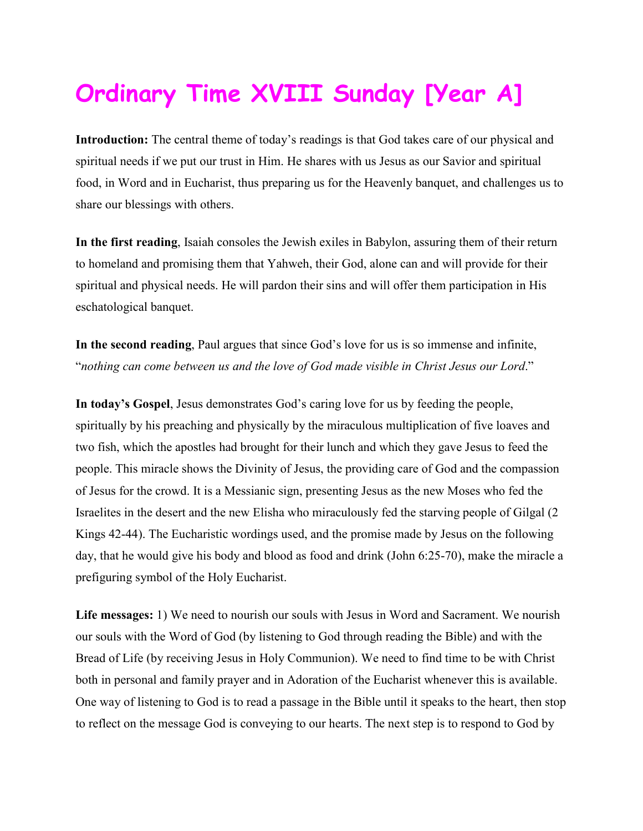## **Ordinary Time XVIII Sunday [Year A]**

**Introduction:** The central theme of today's readings is that God takes care of our physical and spiritual needs if we put our trust in Him. He shares with us Jesus as our Savior and spiritual food, in Word and in Eucharist, thus preparing us for the Heavenly banquet, and challenges us to share our blessings with others.

**In the first reading**, Isaiah consoles the Jewish exiles in Babylon, assuring them of their return to homeland and promising them that Yahweh, their God, alone can and will provide for their spiritual and physical needs. He will pardon their sins and will offer them participation in His eschatological banquet.

**In the second reading**, Paul argues that since God's love for us is so immense and infinite, "*nothing can come between us and the love of God made visible in Christ Jesus our Lord*."

**In today's Gospel**, Jesus demonstrates God's caring love for us by feeding the people, spiritually by his preaching and physically by the miraculous multiplication of five loaves and two fish, which the apostles had brought for their lunch and which they gave Jesus to feed the people. This miracle shows the Divinity of Jesus, the providing care of God and the compassion of Jesus for the crowd. It is a Messianic sign, presenting Jesus as the new Moses who fed the Israelites in the desert and the new Elisha who miraculously fed the starving people of Gilgal (2 Kings 42-44). The Eucharistic wordings used, and the promise made by Jesus on the following day, that he would give his body and blood as food and drink (John 6:25-70), make the miracle a prefiguring symbol of the Holy Eucharist.

**Life messages:** 1) We need to nourish our souls with Jesus in Word and Sacrament. We nourish our souls with the Word of God (by listening to God through reading the Bible) and with the Bread of Life (by receiving Jesus in Holy Communion). We need to find time to be with Christ both in personal and family prayer and in Adoration of the Eucharist whenever this is available. One way of listening to God is to read a passage in the Bible until it speaks to the heart, then stop to reflect on the message God is conveying to our hearts. The next step is to respond to God by